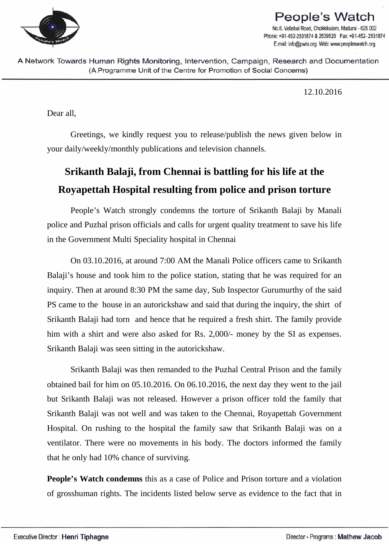

## **People's Watch** No.6, Vallabai Road, Chokkikulam, Madurai - 625 002 Phone: +91-452-2531874 & 2539520 Fax: +91-452-2531874 E.mail: info@pwtn.org Web: www.peopleswatch.org

A Network Towards Human Rights Monitoring, Intervention, Campaign, Research and Documentation (A Programme Unit of the Centre for Promotion of Social Concerns)

12.10.2016

Dear all,

Greetings, we kindly request you to release/publish the news given below in your daily/weekly/monthly publications and television channels.

## **Srikanth Balaji, from Chennai is battling for his life at the Royapettah Hospital resulting from police and prison torture**

People's Watch strongly condemns the torture of Srikanth Balaji by Manali police and Puzhal prison officials and calls for urgent quality treatment to save his life in the Government Multi Speciality hospital in Chennai

On 03.10.2016, at around 7:00 AM the Manali Police officers came to Srikanth Balaji's house and took him to the police station, stating that he was required for an inquiry. Then at around 8:30 PM the same day, Sub Inspector Gurumurthy of the said PS came to the house in an autorickshaw and said that during the inquiry, the shirt of Srikanth Balaji had torn and hence that he required a fresh shirt. The family provide him with a shirt and were also asked for Rs. 2,000/- money by the SI as expenses. Srikanth Balaji was seen sitting in the autorickshaw.

Srikanth Balaji was then remanded to the Puzhal Central Prison and the family obtained bail for him on 05.10.2016. On 06.10.2016, the next day they went to the jail but Srikanth Balaji was not released. However a prison officer told the family that Srikanth Balaji was not well and was taken to the Chennai, Royapettah Government Hospital. On rushing to the hospital the family saw that Srikanth Balaji was on a ventilator. There were no movements in his body. The doctors informed the family that he only had 10% chance of surviving.

**People's Watch condemns** this as a case of Police and Prison torture and a violation of grosshuman rights. The incidents listed below serve as evidence to the fact that in